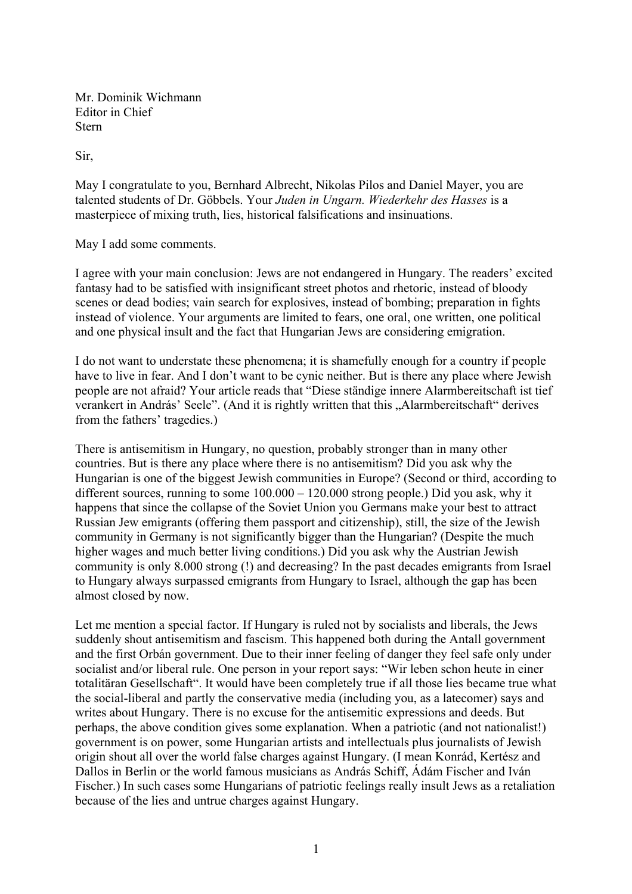Mr. Dominik Wichmann Editor in Chief Stern

Sir,

May I congratulate to you, Bernhard Albrecht, Nikolas Pilos and Daniel Mayer, you are talented students of Dr. Göbbels. Your *Juden in Ungarn. Wiederkehr des Hasses* is a masterpiece of mixing truth, lies, historical falsifications and insinuations.

May I add some comments.

I agree with your main conclusion: Jews are not endangered in Hungary. The readers' excited fantasy had to be satisfied with insignificant street photos and rhetoric, instead of bloody scenes or dead bodies; vain search for explosives, instead of bombing; preparation in fights instead of violence. Your arguments are limited to fears, one oral, one written, one political and one physical insult and the fact that Hungarian Jews are considering emigration.

I do not want to understate these phenomena; it is shamefully enough for a country if people have to live in fear. And I don't want to be cynic neither. But is there any place where Jewish people are not afraid? Your article reads that "Diese ständige innere Alarmbereitschaft ist tief verankert in András' Seele". (And it is rightly written that this "Alarmbereitschaft" derives from the fathers' tragedies.)

There is antisemitism in Hungary, no question, probably stronger than in many other countries. But is there any place where there is no antisemitism? Did you ask why the Hungarian is one of the biggest Jewish communities in Europe? (Second or third, according to different sources, running to some 100.000 – 120.000 strong people.) Did you ask, why it happens that since the collapse of the Soviet Union you Germans make your best to attract Russian Jew emigrants (offering them passport and citizenship), still, the size of the Jewish community in Germany is not significantly bigger than the Hungarian? (Despite the much higher wages and much better living conditions.) Did you ask why the Austrian Jewish community is only 8.000 strong (!) and decreasing? In the past decades emigrants from Israel to Hungary always surpassed emigrants from Hungary to Israel, although the gap has been almost closed by now.

Let me mention a special factor. If Hungary is ruled not by socialists and liberals, the Jews suddenly shout antisemitism and fascism. This happened both during the Antall government and the first Orbán government. Due to their inner feeling of danger they feel safe only under socialist and/or liberal rule. One person in your report says: "Wir leben schon heute in einer totalitäran Gesellschaft". It would have been completely true if all those lies became true what the social-liberal and partly the conservative media (including you, as a latecomer) says and writes about Hungary. There is no excuse for the antisemitic expressions and deeds. But perhaps, the above condition gives some explanation. When a patriotic (and not nationalist!) government is on power, some Hungarian artists and intellectuals plus journalists of Jewish origin shout all over the world false charges against Hungary. (I mean Konrád, Kertész and Dallos in Berlin or the world famous musicians as András Schiff, Ádám Fischer and Iván Fischer.) In such cases some Hungarians of patriotic feelings really insult Jews as a retaliation because of the lies and untrue charges against Hungary.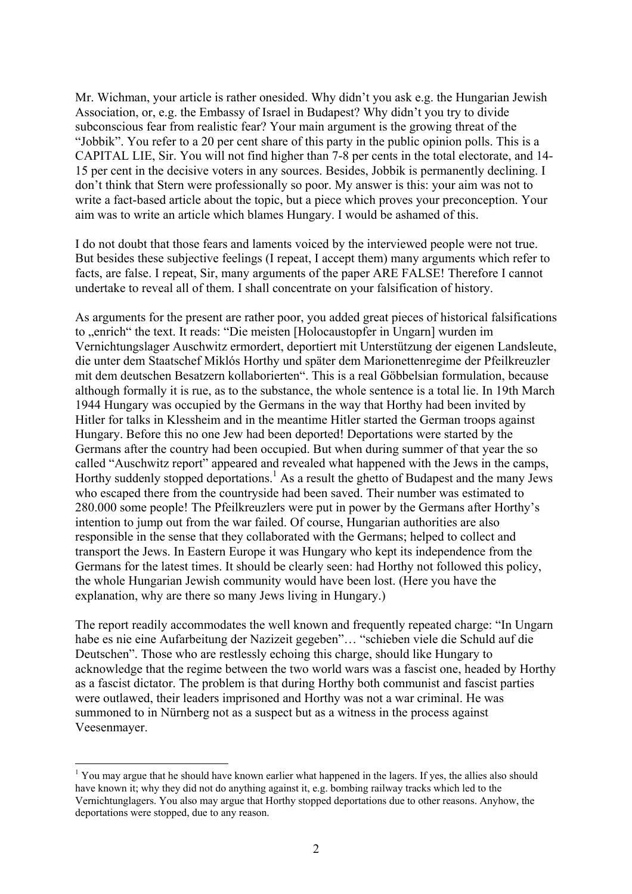Mr. Wichman, your article is rather onesided. Why didn't you ask e.g. the Hungarian Jewish Association, or, e.g. the Embassy of Israel in Budapest? Why didn't you try to divide subconscious fear from realistic fear? Your main argument is the growing threat of the "Jobbik". You refer to a 20 per cent share of this party in the public opinion polls. This is a CAPITAL LIE, Sir. You will not find higher than 7-8 per cents in the total electorate, and 14- 15 per cent in the decisive voters in any sources. Besides, Jobbik is permanently declining. I don't think that Stern were professionally so poor. My answer is this: your aim was not to write a fact-based article about the topic, but a piece which proves your preconception. Your aim was to write an article which blames Hungary. I would be ashamed of this.

I do not doubt that those fears and laments voiced by the interviewed people were not true. But besides these subjective feelings (I repeat, I accept them) many arguments which refer to facts, are false. I repeat, Sir, many arguments of the paper ARE FALSE! Therefore I cannot undertake to reveal all of them. I shall concentrate on your falsification of history.

As arguments for the present are rather poor, you added great pieces of historical falsifications to "enrich" the text. It reads: "Die meisten [Holocaustopfer in Ungarn] wurden im Vernichtungslager Auschwitz ermordert, deportiert mit Unterstützung der eigenen Landsleute, die unter dem Staatschef Miklós Horthy und später dem Marionettenregime der Pfeilkreuzler mit dem deutschen Besatzern kollaborierten". This is a real Göbbelsian formulation, because although formally it is rue, as to the substance, the whole sentence is a total lie. In 19th March 1944 Hungary was occupied by the Germans in the way that Horthy had been invited by Hitler for talks in Klessheim and in the meantime Hitler started the German troops against Hungary. Before this no one Jew had been deported! Deportations were started by the Germans after the country had been occupied. But when during summer of that year the so called "Auschwitz report" appeared and revealed what happened with the Jews in the camps, Horthy suddenly stopped deportations.<sup>1</sup> As a result the ghetto of Budapest and the many Jews who escaped there from the countryside had been saved. Their number was estimated to 280.000 some people! The Pfeilkreuzlers were put in power by the Germans after Horthy's intention to jump out from the war failed. Of course, Hungarian authorities are also responsible in the sense that they collaborated with the Germans; helped to collect and transport the Jews. In Eastern Europe it was Hungary who kept its independence from the Germans for the latest times. It should be clearly seen: had Horthy not followed this policy, the whole Hungarian Jewish community would have been lost. (Here you have the explanation, why are there so many Jews living in Hungary.)

The report readily accommodates the well known and frequently repeated charge: "In Ungarn habe es nie eine Aufarbeitung der Nazizeit gegeben"… "schieben viele die Schuld auf die Deutschen". Those who are restlessly echoing this charge, should like Hungary to acknowledge that the regime between the two world wars was a fascist one, headed by Horthy as a fascist dictator. The problem is that during Horthy both communist and fascist parties were outlawed, their leaders imprisoned and Horthy was not a war criminal. He was summoned to in Nürnberg not as a suspect but as a witness in the process against Veesenmayer.

1

<sup>&</sup>lt;sup>1</sup> You may argue that he should have known earlier what happened in the lagers. If yes, the allies also should have known it; why they did not do anything against it, e.g. bombing railway tracks which led to the Vernichtunglagers. You also may argue that Horthy stopped deportations due to other reasons. Anyhow, the deportations were stopped, due to any reason.